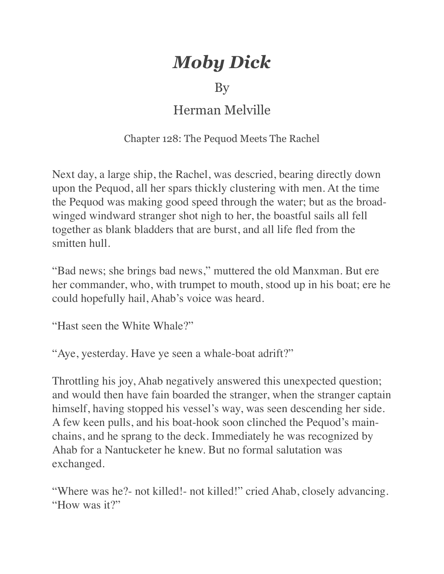## *Moby Dick*

## By

## Herman Melville

## Chapter 128: The Pequod Meets The Rachel

Next day, a large ship, the Rachel, was descried, bearing directly down upon the Pequod, all her spars thickly clustering with men. At the time the Pequod was making good speed through the water; but as the broadwinged windward stranger shot nigh to her, the boastful sails all fell together as blank bladders that are burst, and all life fled from the smitten hull.

"Bad news; she brings bad news," muttered the old Manxman. But ere her commander, who, with trumpet to mouth, stood up in his boat; ere he could hopefully hail, Ahab's voice was heard.

"Hast seen the White Whale?"

"Aye, yesterday. Have ye seen a whale-boat adrift?"

Throttling his joy, Ahab negatively answered this unexpected question; and would then have fain boarded the stranger, when the stranger captain himself, having stopped his vessel's way, was seen descending her side. A few keen pulls, and his boat-hook soon clinched the Pequod's mainchains, and he sprang to the deck. Immediately he was recognized by Ahab for a Nantucketer he knew. But no formal salutation was exchanged.

"Where was he?- not killed!- not killed!" cried Ahab, closely advancing. "How was it?"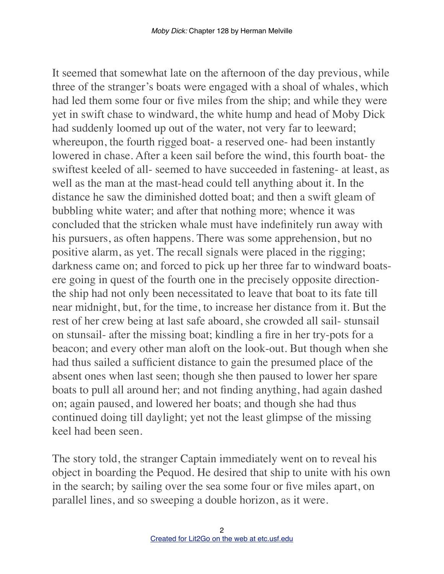It seemed that somewhat late on the afternoon of the day previous, while three of the stranger's boats were engaged with a shoal of whales, which had led them some four or five miles from the ship; and while they were yet in swift chase to windward, the white hump and head of Moby Dick had suddenly loomed up out of the water, not very far to leeward; whereupon, the fourth rigged boat- a reserved one- had been instantly lowered in chase. After a keen sail before the wind, this fourth boat- the swiftest keeled of all- seemed to have succeeded in fastening- at least, as well as the man at the mast-head could tell anything about it. In the distance he saw the diminished dotted boat; and then a swift gleam of bubbling white water; and after that nothing more; whence it was concluded that the stricken whale must have indefinitely run away with his pursuers, as often happens. There was some apprehension, but no positive alarm, as yet. The recall signals were placed in the rigging; darkness came on; and forced to pick up her three far to windward boatsere going in quest of the fourth one in the precisely opposite directionthe ship had not only been necessitated to leave that boat to its fate till near midnight, but, for the time, to increase her distance from it. But the rest of her crew being at last safe aboard, she crowded all sail- stunsail on stunsail- after the missing boat; kindling a fire in her try-pots for a beacon; and every other man aloft on the look-out. But though when she had thus sailed a sufficient distance to gain the presumed place of the absent ones when last seen; though she then paused to lower her spare boats to pull all around her; and not finding anything, had again dashed on; again paused, and lowered her boats; and though she had thus continued doing till daylight; yet not the least glimpse of the missing keel had been seen.

The story told, the stranger Captain immediately went on to reveal his object in boarding the Pequod. He desired that ship to unite with his own in the search; by sailing over the sea some four or five miles apart, on parallel lines, and so sweeping a double horizon, as it were.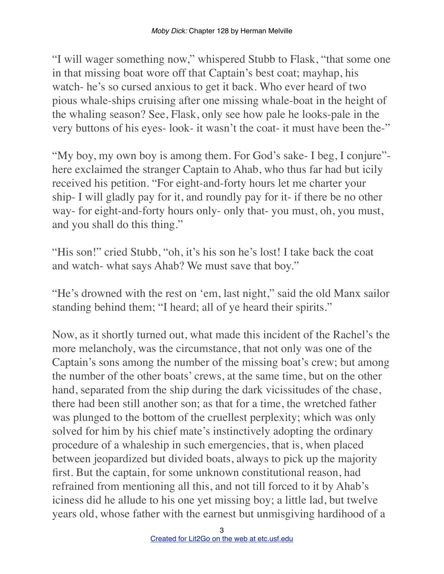"I will wager something now," whispered Stubb to Flask, "that some one in that missing boat wore off that Captain's best coat; mayhap, his watch- he's so cursed anxious to get it back. Who ever heard of two pious whale-ships cruising after one missing whale-boat in the height of the whaling season? See, Flask, only see how pale he looks-pale in the very buttons of his eyes- look- it wasn't the coat- it must have been the-"

"My boy, my own boy is among them. For God's sake- I beg, I conjure" here exclaimed the stranger Captain to Ahab, who thus far had but icily received his petition. "For eight-and-forty hours let me charter your ship- I will gladly pay for it, and roundly pay for it- if there be no other way- for eight-and-forty hours only- only that- you must, oh, you must, and you shall do this thing."

"His son!" cried Stubb, "oh, it's his son he's lost! I take back the coat and watch- what says Ahab? We must save that boy."

"He's drowned with the rest on 'em, last night," said the old Manx sailor standing behind them; "I heard; all of ye heard their spirits."

Now, as it shortly turned out, what made this incident of the Rachel's the more melancholy, was the circumstance, that not only was one of the Captain's sons among the number of the missing boat's crew; but among the number of the other boats' crews, at the same time, but on the other hand, separated from the ship during the dark vicissitudes of the chase, there had been still another son; as that for a time, the wretched father was plunged to the bottom of the cruellest perplexity; which was only solved for him by his chief mate's instinctively adopting the ordinary procedure of a whaleship in such emergencies, that is, when placed between jeopardized but divided boats, always to pick up the majority first. But the captain, for some unknown constitutional reason, had refrained from mentioning all this, and not till forced to it by Ahab's iciness did he allude to his one yet missing boy; a little lad, but twelve years old, whose father with the earnest but unmisgiving hardihood of a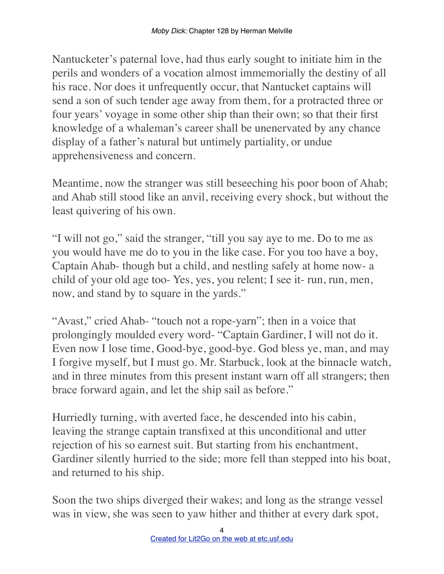Nantucketer's paternal love, had thus early sought to initiate him in the perils and wonders of a vocation almost immemorially the destiny of all his race. Nor does it unfrequently occur, that Nantucket captains will send a son of such tender age away from them, for a protracted three or four years' voyage in some other ship than their own; so that their first knowledge of a whaleman's career shall be unenervated by any chance display of a father's natural but untimely partiality, or undue apprehensiveness and concern.

Meantime, now the stranger was still beseeching his poor boon of Ahab; and Ahab still stood like an anvil, receiving every shock, but without the least quivering of his own.

"I will not go," said the stranger, "till you say aye to me. Do to me as you would have me do to you in the like case. For you too have a boy, Captain Ahab- though but a child, and nestling safely at home now- a child of your old age too- Yes, yes, you relent; I see it- run, run, men, now, and stand by to square in the yards."

"Avast," cried Ahab- "touch not a rope-yarn"; then in a voice that prolongingly moulded every word- "Captain Gardiner, I will not do it. Even now I lose time, Good-bye, good-bye. God bless ye, man, and may I forgive myself, but I must go. Mr. Starbuck, look at the binnacle watch, and in three minutes from this present instant warn off all strangers; then brace forward again, and let the ship sail as before."

Hurriedly turning, with averted face, he descended into his cabin, leaving the strange captain transfixed at this unconditional and utter rejection of his so earnest suit. But starting from his enchantment, Gardiner silently hurried to the side; more fell than stepped into his boat, and returned to his ship.

Soon the two ships diverged their wakes; and long as the strange vessel was in view, she was seen to yaw hither and thither at every dark spot,